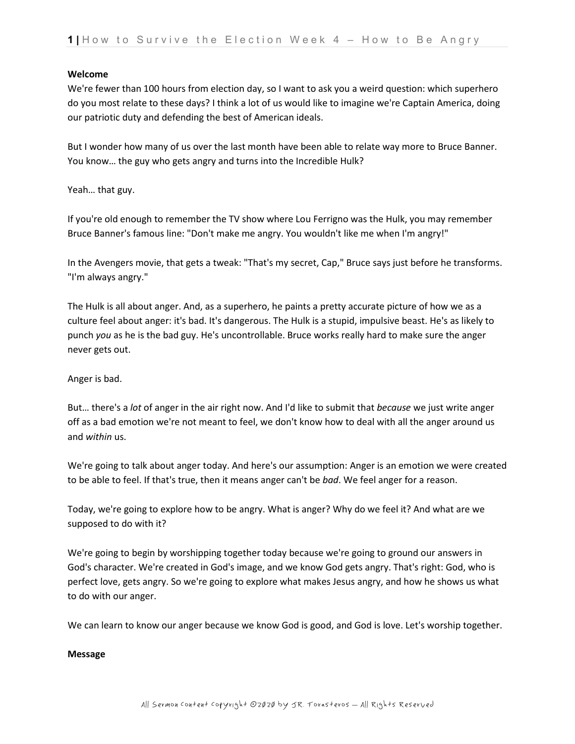## **Welcome**

We're fewer than 100 hours from election day, so I want to ask you a weird question: which superhero do you most relate to these days? I think a lot of us would like to imagine we're Captain America, doing our patriotic duty and defending the best of American ideals.

But I wonder how many of us over the last month have been able to relate way more to Bruce Banner. You know… the guy who gets angry and turns into the Incredible Hulk?

Yeah… that guy.

If you're old enough to remember the TV show where Lou Ferrigno was the Hulk, you may remember Bruce Banner's famous line: "Don't make me angry. You wouldn't like me when I'm angry!"

In the Avengers movie, that gets a tweak: "That's my secret, Cap," Bruce says just before he transforms. "I'm always angry."

The Hulk is all about anger. And, as a superhero, he paints a pretty accurate picture of how we as a culture feel about anger: it's bad. It's dangerous. The Hulk is a stupid, impulsive beast. He's as likely to punch *you* as he is the bad guy. He's uncontrollable. Bruce works really hard to make sure the anger never gets out.

Anger is bad.

But… there's a *lot* of anger in the air right now. And I'd like to submit that *because* we just write anger off as a bad emotion we're not meant to feel, we don't know how to deal with all the anger around us and *within* us.

We're going to talk about anger today. And here's our assumption: Anger is an emotion we were created to be able to feel. If that's true, then it means anger can't be *bad*. We feel anger for a reason.

Today, we're going to explore how to be angry. What is anger? Why do we feel it? And what are we supposed to do with it?

We're going to begin by worshipping together today because we're going to ground our answers in God's character. We're created in God's image, and we know God gets angry. That's right: God, who is perfect love, gets angry. So we're going to explore what makes Jesus angry, and how he shows us what to do with our anger.

We can learn to know our anger because we know God is good, and God is love. Let's worship together.

## **Message**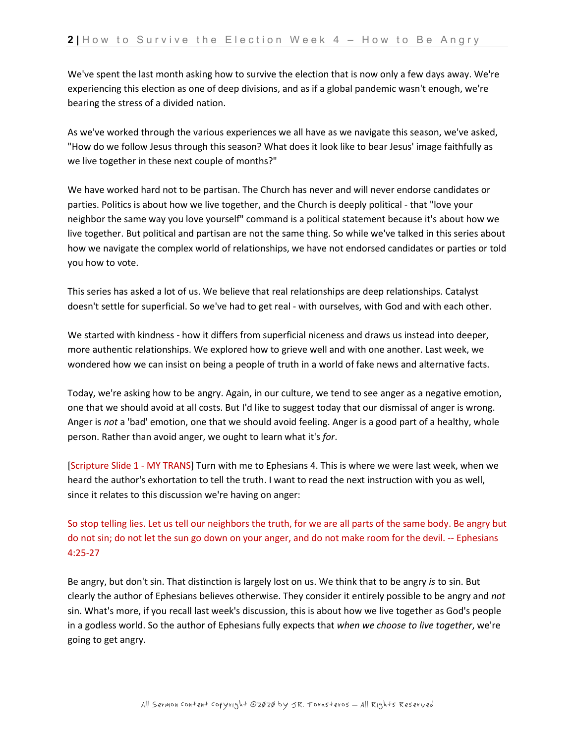We've spent the last month asking how to survive the election that is now only a few days away. We're experiencing this election as one of deep divisions, and as if a global pandemic wasn't enough, we're bearing the stress of a divided nation.

As we've worked through the various experiences we all have as we navigate this season, we've asked, "How do we follow Jesus through this season? What does it look like to bear Jesus' image faithfully as we live together in these next couple of months?"

We have worked hard not to be partisan. The Church has never and will never endorse candidates or parties. Politics is about how we live together, and the Church is deeply political - that "love your neighbor the same way you love yourself" command is a political statement because it's about how we live together. But political and partisan are not the same thing. So while we've talked in this series about how we navigate the complex world of relationships, we have not endorsed candidates or parties or told you how to vote.

This series has asked a lot of us. We believe that real relationships are deep relationships. Catalyst doesn't settle for superficial. So we've had to get real - with ourselves, with God and with each other.

We started with kindness - how it differs from superficial niceness and draws us instead into deeper, more authentic relationships. We explored how to grieve well and with one another. Last week, we wondered how we can insist on being a people of truth in a world of fake news and alternative facts.

Today, we're asking how to be angry. Again, in our culture, we tend to see anger as a negative emotion, one that we should avoid at all costs. But I'd like to suggest today that our dismissal of anger is wrong. Anger is *not* a 'bad' emotion, one that we should avoid feeling. Anger is a good part of a healthy, whole person. Rather than avoid anger, we ought to learn what it's *for*.

[Scripture Slide 1 - MY TRANS] Turn with me to Ephesians 4. This is where we were last week, when we heard the author's exhortation to tell the truth. I want to read the next instruction with you as well, since it relates to this discussion we're having on anger:

So stop telling lies. Let us tell our neighbors the truth, for we are all parts of the same body. Be angry but do not sin; do not let the sun go down on your anger, and do not make room for the devil. -- Ephesians 4:25-27

Be angry, but don't sin. That distinction is largely lost on us. We think that to be angry *is* to sin. But clearly the author of Ephesians believes otherwise. They consider it entirely possible to be angry and *not*  sin. What's more, if you recall last week's discussion, this is about how we live together as God's people in a godless world. So the author of Ephesians fully expects that *when we choose to live together*, we're going to get angry.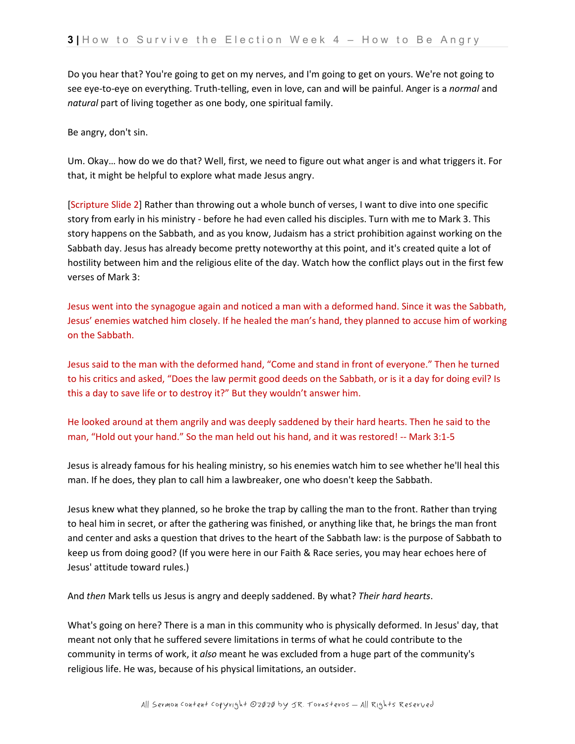Do you hear that? You're going to get on my nerves, and I'm going to get on yours. We're not going to see eye-to-eye on everything. Truth-telling, even in love, can and will be painful. Anger is a *normal* and *natural* part of living together as one body, one spiritual family.

Be angry, don't sin.

Um. Okay… how do we do that? Well, first, we need to figure out what anger is and what triggers it. For that, it might be helpful to explore what made Jesus angry.

[Scripture Slide 2] Rather than throwing out a whole bunch of verses, I want to dive into one specific story from early in his ministry - before he had even called his disciples. Turn with me to Mark 3. This story happens on the Sabbath, and as you know, Judaism has a strict prohibition against working on the Sabbath day. Jesus has already become pretty noteworthy at this point, and it's created quite a lot of hostility between him and the religious elite of the day. Watch how the conflict plays out in the first few verses of Mark 3:

Jesus went into the synagogue again and noticed a man with a deformed hand. Since it was the Sabbath, Jesus' enemies watched him closely. If he healed the man's hand, they planned to accuse him of working on the Sabbath.

Jesus said to the man with the deformed hand, "Come and stand in front of everyone." Then he turned to his critics and asked, "Does the law permit good deeds on the Sabbath, or is it a day for doing evil? Is this a day to save life or to destroy it?" But they wouldn't answer him.

He looked around at them angrily and was deeply saddened by their hard hearts. Then he said to the man, "Hold out your hand." So the man held out his hand, and it was restored! -- Mark 3:1-5

Jesus is already famous for his healing ministry, so his enemies watch him to see whether he'll heal this man. If he does, they plan to call him a lawbreaker, one who doesn't keep the Sabbath.

Jesus knew what they planned, so he broke the trap by calling the man to the front. Rather than trying to heal him in secret, or after the gathering was finished, or anything like that, he brings the man front and center and asks a question that drives to the heart of the Sabbath law: is the purpose of Sabbath to keep us from doing good? (If you were here in our Faith & Race series, you may hear echoes here of Jesus' attitude toward rules.)

And *then* Mark tells us Jesus is angry and deeply saddened. By what? *Their hard hearts*.

What's going on here? There is a man in this community who is physically deformed. In Jesus' day, that meant not only that he suffered severe limitations in terms of what he could contribute to the community in terms of work, it *also* meant he was excluded from a huge part of the community's religious life. He was, because of his physical limitations, an outsider.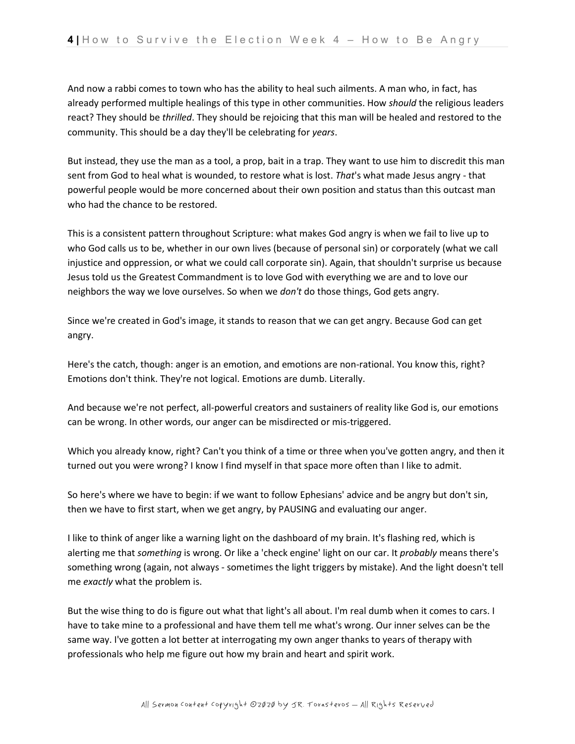And now a rabbi comes to town who has the ability to heal such ailments. A man who, in fact, has already performed multiple healings of this type in other communities. How *should* the religious leaders react? They should be *thrilled*. They should be rejoicing that this man will be healed and restored to the community. This should be a day they'll be celebrating for *years*.

But instead, they use the man as a tool, a prop, bait in a trap. They want to use him to discredit this man sent from God to heal what is wounded, to restore what is lost. *That*'s what made Jesus angry - that powerful people would be more concerned about their own position and status than this outcast man who had the chance to be restored.

This is a consistent pattern throughout Scripture: what makes God angry is when we fail to live up to who God calls us to be, whether in our own lives (because of personal sin) or corporately (what we call injustice and oppression, or what we could call corporate sin). Again, that shouldn't surprise us because Jesus told us the Greatest Commandment is to love God with everything we are and to love our neighbors the way we love ourselves. So when we *don't* do those things, God gets angry.

Since we're created in God's image, it stands to reason that we can get angry. Because God can get angry.

Here's the catch, though: anger is an emotion, and emotions are non-rational. You know this, right? Emotions don't think. They're not logical. Emotions are dumb. Literally.

And because we're not perfect, all-powerful creators and sustainers of reality like God is, our emotions can be wrong. In other words, our anger can be misdirected or mis-triggered.

Which you already know, right? Can't you think of a time or three when you've gotten angry, and then it turned out you were wrong? I know I find myself in that space more often than I like to admit.

So here's where we have to begin: if we want to follow Ephesians' advice and be angry but don't sin, then we have to first start, when we get angry, by PAUSING and evaluating our anger.

I like to think of anger like a warning light on the dashboard of my brain. It's flashing red, which is alerting me that *something* is wrong. Or like a 'check engine' light on our car. It *probably* means there's something wrong (again, not always - sometimes the light triggers by mistake). And the light doesn't tell me *exactly* what the problem is.

But the wise thing to do is figure out what that light's all about. I'm real dumb when it comes to cars. I have to take mine to a professional and have them tell me what's wrong. Our inner selves can be the same way. I've gotten a lot better at interrogating my own anger thanks to years of therapy with professionals who help me figure out how my brain and heart and spirit work.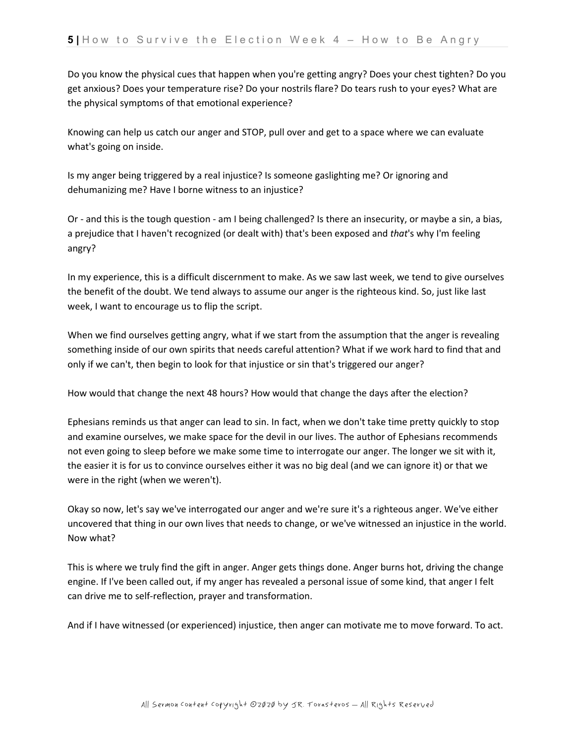Do you know the physical cues that happen when you're getting angry? Does your chest tighten? Do you get anxious? Does your temperature rise? Do your nostrils flare? Do tears rush to your eyes? What are the physical symptoms of that emotional experience?

Knowing can help us catch our anger and STOP, pull over and get to a space where we can evaluate what's going on inside.

Is my anger being triggered by a real injustice? Is someone gaslighting me? Or ignoring and dehumanizing me? Have I borne witness to an injustice?

Or - and this is the tough question - am I being challenged? Is there an insecurity, or maybe a sin, a bias, a prejudice that I haven't recognized (or dealt with) that's been exposed and *that*'s why I'm feeling angry?

In my experience, this is a difficult discernment to make. As we saw last week, we tend to give ourselves the benefit of the doubt. We tend always to assume our anger is the righteous kind. So, just like last week, I want to encourage us to flip the script.

When we find ourselves getting angry, what if we start from the assumption that the anger is revealing something inside of our own spirits that needs careful attention? What if we work hard to find that and only if we can't, then begin to look for that injustice or sin that's triggered our anger?

How would that change the next 48 hours? How would that change the days after the election?

Ephesians reminds us that anger can lead to sin. In fact, when we don't take time pretty quickly to stop and examine ourselves, we make space for the devil in our lives. The author of Ephesians recommends not even going to sleep before we make some time to interrogate our anger. The longer we sit with it, the easier it is for us to convince ourselves either it was no big deal (and we can ignore it) or that we were in the right (when we weren't).

Okay so now, let's say we've interrogated our anger and we're sure it's a righteous anger. We've either uncovered that thing in our own lives that needs to change, or we've witnessed an injustice in the world. Now what?

This is where we truly find the gift in anger. Anger gets things done. Anger burns hot, driving the change engine. If I've been called out, if my anger has revealed a personal issue of some kind, that anger I felt can drive me to self-reflection, prayer and transformation.

And if I have witnessed (or experienced) injustice, then anger can motivate me to move forward. To act.